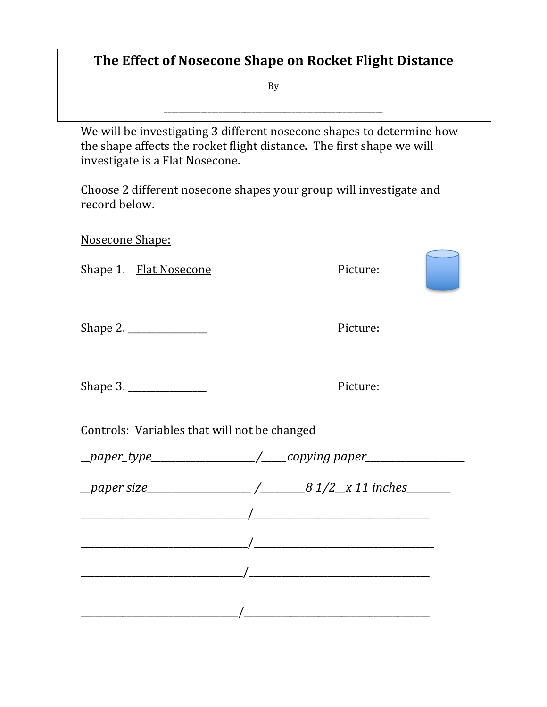## **The Effect of Nosecone Shape on Rocket Flight Distance**

By

\_\_\_\_\_\_\_\_\_\_\_\_\_\_\_\_\_\_\_\_\_\_\_\_\_\_\_\_\_\_\_\_\_\_\_\_\_\_\_\_\_\_\_\_\_\_\_\_\_\_\_\_\_\_\_\_\_\_\_\_

We will be investigating 3 different nosecone shapes to determine how the shape affects the rocket flight distance. The first shape we will investigate is a Flat Nosecone.

Choose 2 different nosecone shapes your group will investigate and record below.

Nosecone Shape:

Shape 1. Flat Nosecone Picture:

Shape 2. \_\_\_\_\_\_\_\_\_\_\_\_\_\_\_\_\_ Picture:

Shape 3. \_\_\_\_\_\_\_\_\_\_\_\_\_\_\_\_\_ Picture:

Controls: Variables that will not be changed

\_\_*paper\_type\_\_\_\_\_\_\_\_\_\_\_\_\_\_\_\_\_\_\_\_\_/\_\_\_\_\_copying paper\_\_\_\_\_\_\_\_\_\_\_\_\_\_\_\_\_\_\_\_*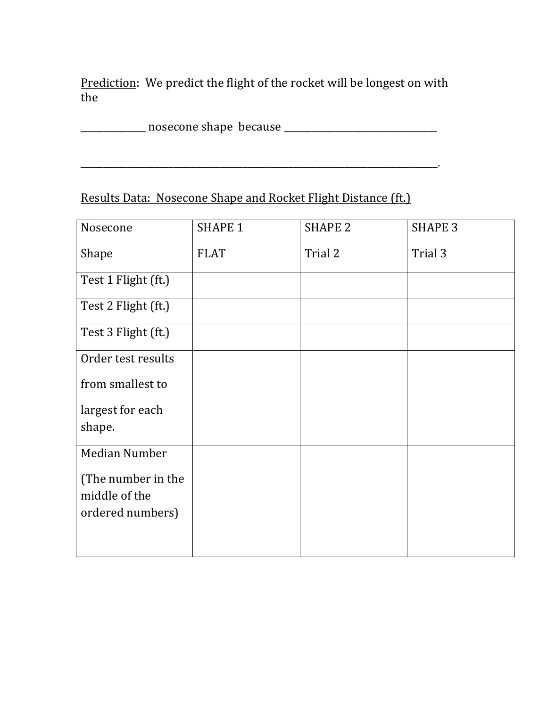Prediction: We predict the flight of the rocket will be longest on with the 

\_\_\_\_\_\_\_\_\_\_\_\_\_\_\_\_\_\_\_\_\_\_\_\_\_\_\_\_\_\_\_\_\_\_\_\_\_\_\_\_\_\_\_\_\_\_\_\_\_\_\_\_\_\_\_\_\_\_\_\_\_\_\_\_\_\_\_\_\_\_\_\_\_\_\_\_\_.

\_\_\_\_\_\_\_\_\_\_\_\_\_\_ nosecone shape because \_\_\_\_\_\_\_\_\_\_\_\_\_\_\_\_\_\_\_\_\_\_\_\_\_\_\_\_\_\_\_\_\_

## Results Data: Nosecone Shape and Rocket Flight Distance (ft.)

| Nosecone             | <b>SHAPE 1</b> | <b>SHAPE 2</b> | <b>SHAPE 3</b> |
|----------------------|----------------|----------------|----------------|
| Shape                | <b>FLAT</b>    | Trial 2        | Trial 3        |
| Test 1 Flight (ft.)  |                |                |                |
| Test 2 Flight (ft.)  |                |                |                |
| Test 3 Flight (ft.)  |                |                |                |
| Order test results   |                |                |                |
| from smallest to     |                |                |                |
| largest for each     |                |                |                |
| shape.               |                |                |                |
| <b>Median Number</b> |                |                |                |
| (The number in the   |                |                |                |
| middle of the        |                |                |                |
| ordered numbers)     |                |                |                |
|                      |                |                |                |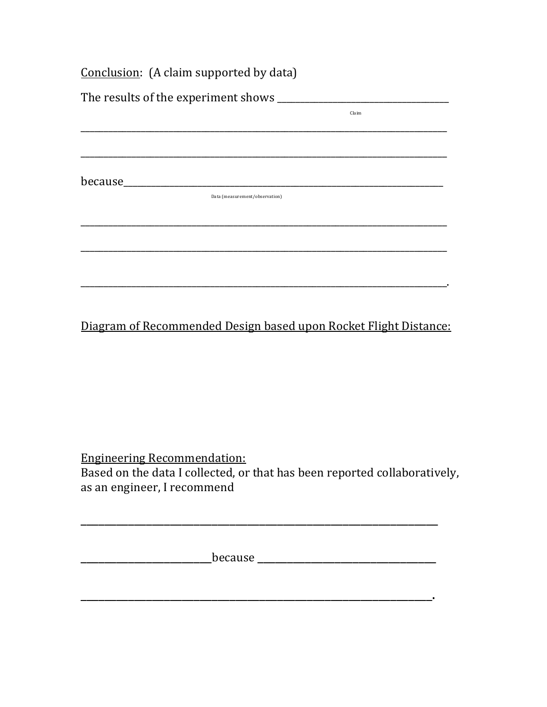|                                           | Conclusion: (A claim supported by data) |       |  |  |  |
|-------------------------------------------|-----------------------------------------|-------|--|--|--|
| The results of the experiment shows _____ |                                         |       |  |  |  |
|                                           |                                         | Claim |  |  |  |
|                                           |                                         |       |  |  |  |
|                                           |                                         |       |  |  |  |
| because______                             |                                         |       |  |  |  |
|                                           | Data (measurement/observation)          |       |  |  |  |
|                                           |                                         |       |  |  |  |
|                                           |                                         |       |  |  |  |
|                                           |                                         |       |  |  |  |
|                                           |                                         |       |  |  |  |

Diagram of Recommended Design based upon Rocket Flight Distance:

**Engineering Recommendation:** Based on the data I collected, or that has been reported collaboratively, as an engineer, I recommend

<u> 1989 - Andrea State Barbara, amerikana amerikana amerikana amerikana amerikana amerikana amerikana amerikana</u>